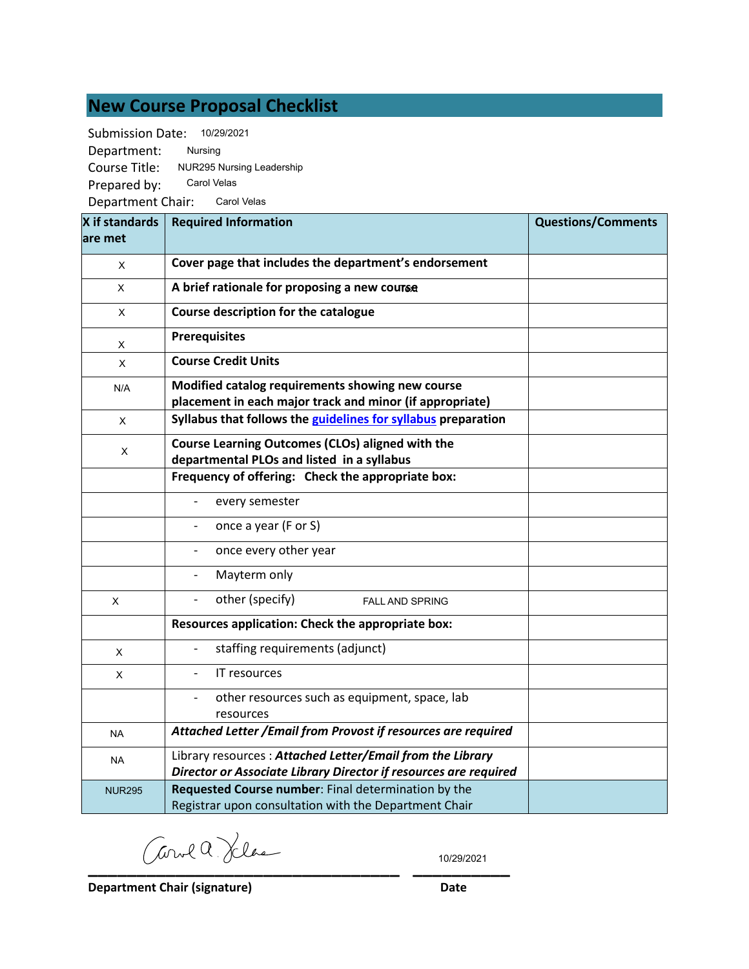# **New Course Proposal Checklist**

Submission Date: 10/29/2021

Department: Course Title: NUR295 Nursing Leadership Nursing

Prepared by: Carol Velas

Department Chair: Carol Velas

| X if standards | <b>Required Information</b>                                                                                  | <b>Questions/Comments</b> |
|----------------|--------------------------------------------------------------------------------------------------------------|---------------------------|
| lare met       |                                                                                                              |                           |
| X              | Cover page that includes the department's endorsement                                                        |                           |
| X              | A brief rationale for proposing a new course                                                                 |                           |
| $\mathsf{x}$   | Course description for the catalogue                                                                         |                           |
| Χ              | <b>Prerequisites</b>                                                                                         |                           |
| X              | <b>Course Credit Units</b>                                                                                   |                           |
| N/A            | Modified catalog requirements showing new course<br>placement in each major track and minor (if appropriate) |                           |
| X              | Syllabus that follows the guidelines for syllabus preparation                                                |                           |
| X              | Course Learning Outcomes (CLOs) aligned with the<br>departmental PLOs and listed in a syllabus               |                           |
|                | Frequency of offering: Check the appropriate box:                                                            |                           |
|                | every semester                                                                                               |                           |
|                | once a year (F or S)                                                                                         |                           |
|                | once every other year                                                                                        |                           |
|                | Mayterm only                                                                                                 |                           |
| X              | other (specify)<br><b>FALL AND SPRING</b>                                                                    |                           |
|                | Resources application: Check the appropriate box:                                                            |                           |
| X              | staffing requirements (adjunct)                                                                              |                           |
| X              | IT resources                                                                                                 |                           |
|                | other resources such as equipment, space, lab<br>$\frac{1}{2}$<br>resources                                  |                           |
| <b>NA</b>      | Attached Letter / Email from Provost if resources are required                                               |                           |
| <b>NA</b>      | Library resources: Attached Letter/Email from the Library                                                    |                           |
|                | Director or Associate Library Director if resources are required                                             |                           |
| <b>NUR295</b>  | Requested Course number: Final determination by the<br>Registrar upon consultation with the Department Chair |                           |

**\_\_\_\_\_\_\_\_\_\_\_\_\_\_\_\_\_\_\_\_\_\_\_\_\_\_\_\_\_\_\_\_ \_\_\_\_\_\_\_\_\_\_**

10/29/2021

**Department Chair (signature) Date**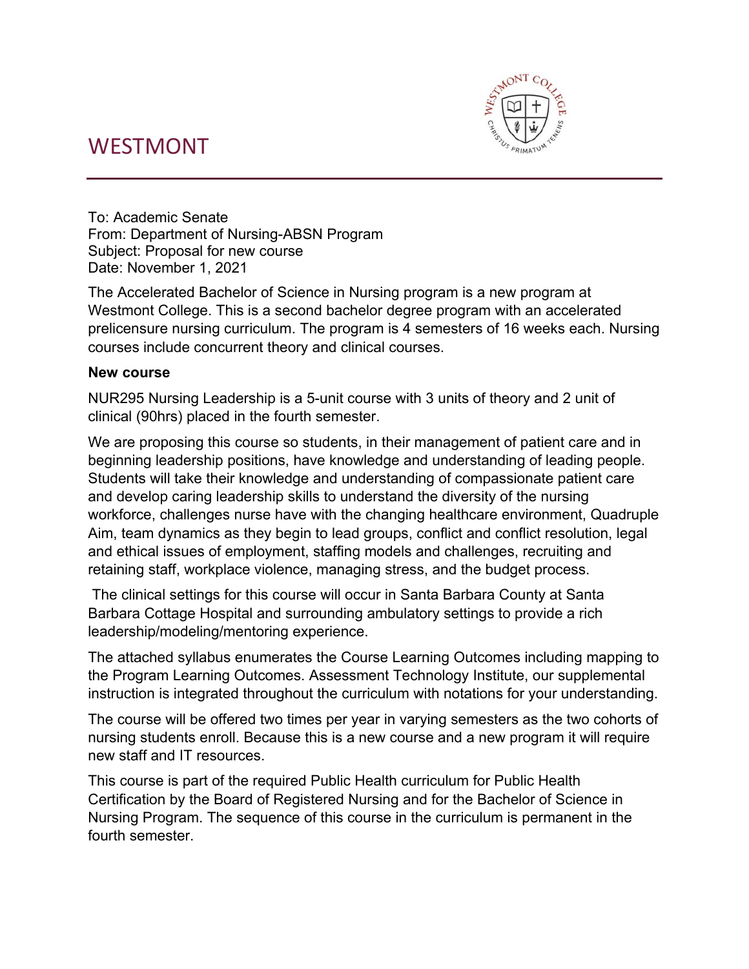# WESTMONT



To: Academic Senate From: Department of Nursing-ABSN Program Subject: Proposal for new course Date: November 1, 2021

The Accelerated Bachelor of Science in Nursing program is a new program at Westmont College. This is a second bachelor degree program with an accelerated prelicensure nursing curriculum. The program is 4 semesters of 16 weeks each. Nursing courses include concurrent theory and clinical courses.

## **New course**

NUR295 Nursing Leadership is a 5-unit course with 3 units of theory and 2 unit of clinical (90hrs) placed in the fourth semester.

We are proposing this course so students, in their management of patient care and in beginning leadership positions, have knowledge and understanding of leading people. Students will take their knowledge and understanding of compassionate patient care and develop caring leadership skills to understand the diversity of the nursing workforce, challenges nurse have with the changing healthcare environment, Quadruple Aim, team dynamics as they begin to lead groups, conflict and conflict resolution, legal and ethical issues of employment, staffing models and challenges, recruiting and retaining staff, workplace violence, managing stress, and the budget process.

 The clinical settings for this course will occur in Santa Barbara County at Santa Barbara Cottage Hospital and surrounding ambulatory settings to provide a rich leadership/modeling/mentoring experience.

The attached syllabus enumerates the Course Learning Outcomes including mapping to the Program Learning Outcomes. Assessment Technology Institute, our supplemental instruction is integrated throughout the curriculum with notations for your understanding.

The course will be offered two times per year in varying semesters as the two cohorts of nursing students enroll. Because this is a new course and a new program it will require new staff and IT resources.

This course is part of the required Public Health curriculum for Public Health Certification by the Board of Registered Nursing and for the Bachelor of Science in Nursing Program. The sequence of this course in the curriculum is permanent in the fourth semester.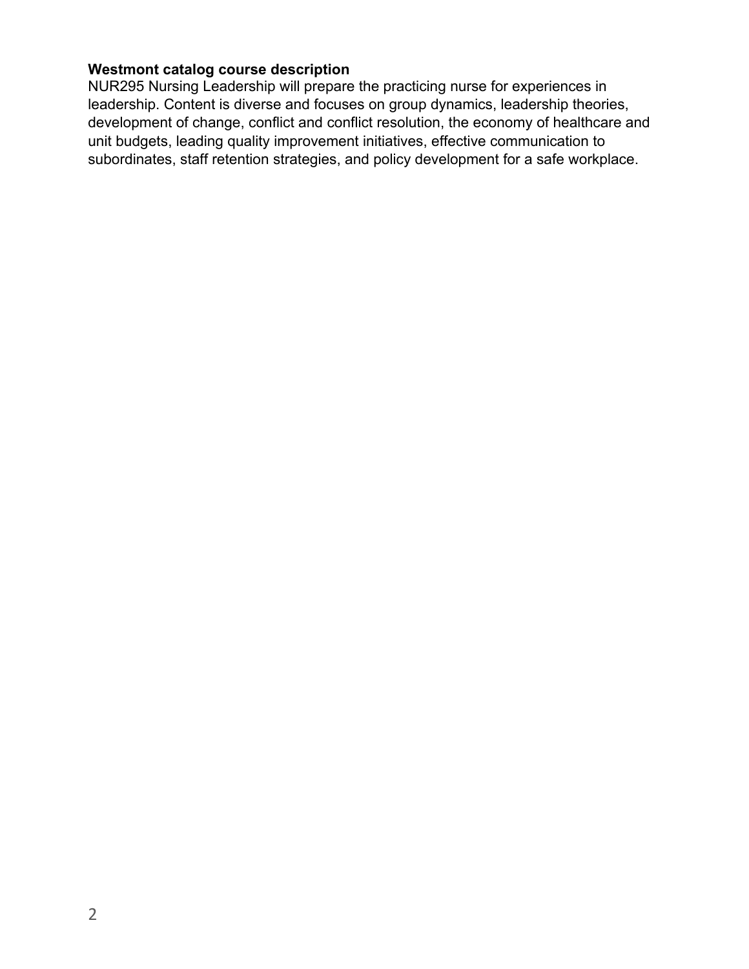# **Westmont catalog course description**

NUR295 Nursing Leadership will prepare the practicing nurse for experiences in leadership. Content is diverse and focuses on group dynamics, leadership theories, development of change, conflict and conflict resolution, the economy of healthcare and unit budgets, leading quality improvement initiatives, effective communication to subordinates, staff retention strategies, and policy development for a safe workplace.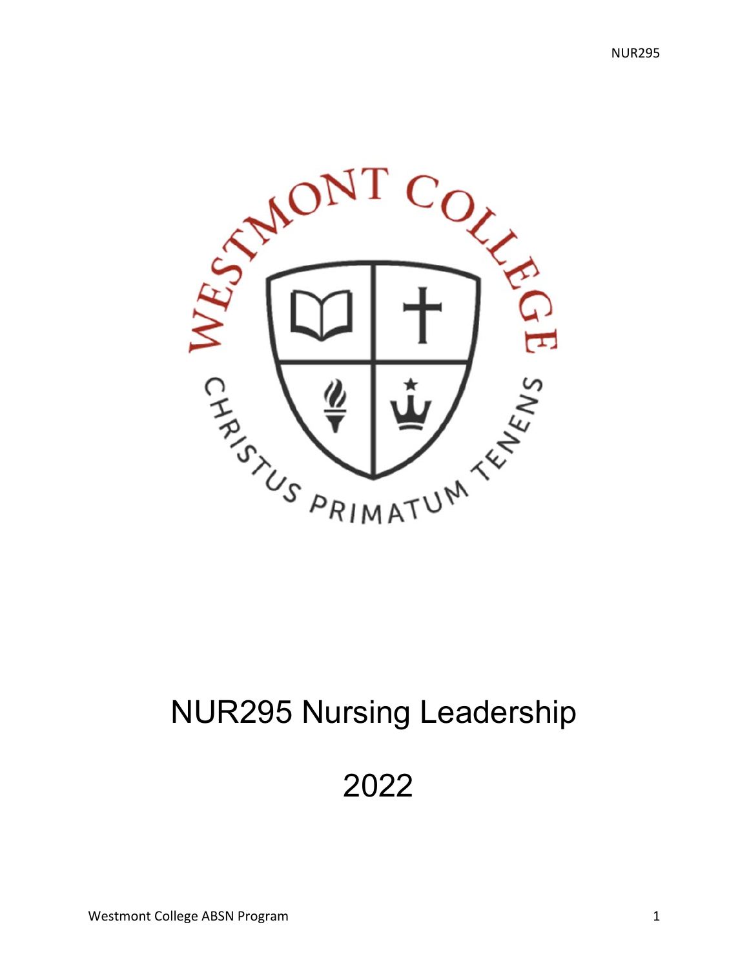

# NUR295 Nursing Leadership

2022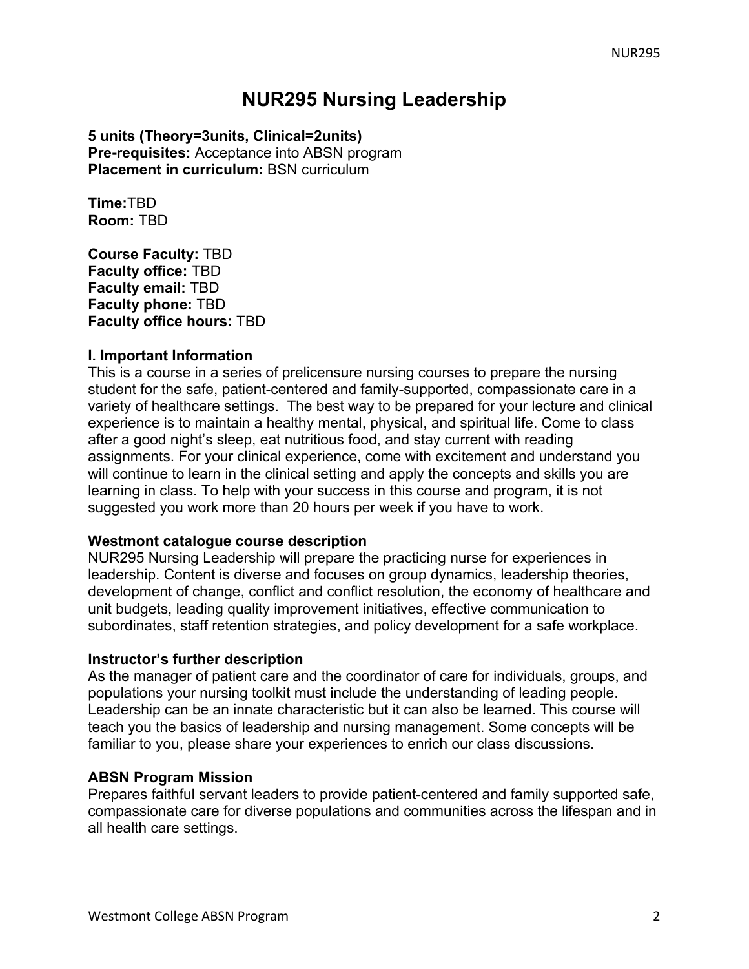# **NUR295 Nursing Leadership**

**5 units (Theory=3units, Clinical=2units) Pre-requisites:** Acceptance into ABSN program **Placement in curriculum: BSN curriculum** 

**Time:**TBD **Room:** TBD

**Course Faculty:** TBD **Faculty office:** TBD **Faculty email:** TBD **Faculty phone:** TBD **Faculty office hours:** TBD

#### **I. Important Information**

This is a course in a series of prelicensure nursing courses to prepare the nursing student for the safe, patient-centered and family-supported, compassionate care in a variety of healthcare settings. The best way to be prepared for your lecture and clinical experience is to maintain a healthy mental, physical, and spiritual life. Come to class after a good night's sleep, eat nutritious food, and stay current with reading assignments. For your clinical experience, come with excitement and understand you will continue to learn in the clinical setting and apply the concepts and skills you are learning in class. To help with your success in this course and program, it is not suggested you work more than 20 hours per week if you have to work.

#### **Westmont catalogue course description**

NUR295 Nursing Leadership will prepare the practicing nurse for experiences in leadership. Content is diverse and focuses on group dynamics, leadership theories, development of change, conflict and conflict resolution, the economy of healthcare and unit budgets, leading quality improvement initiatives, effective communication to subordinates, staff retention strategies, and policy development for a safe workplace.

#### **Instructor's further description**

As the manager of patient care and the coordinator of care for individuals, groups, and populations your nursing toolkit must include the understanding of leading people. Leadership can be an innate characteristic but it can also be learned. This course will teach you the basics of leadership and nursing management. Some concepts will be familiar to you, please share your experiences to enrich our class discussions.

#### **ABSN Program Mission**

Prepares faithful servant leaders to provide patient-centered and family supported safe, compassionate care for diverse populations and communities across the lifespan and in all health care settings.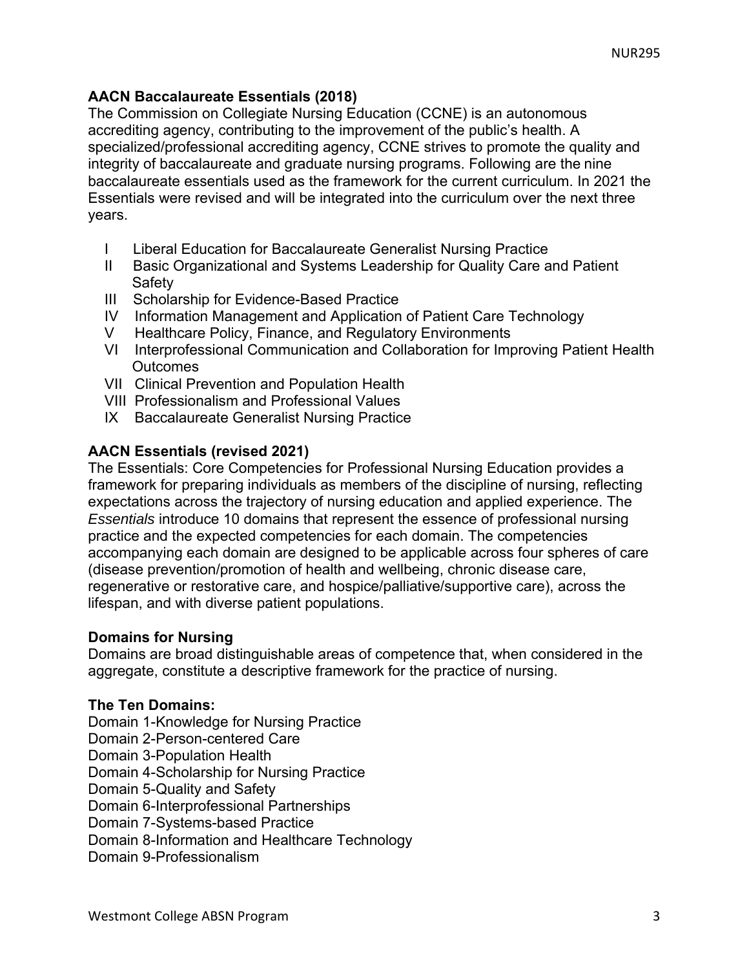## **AACN Baccalaureate Essentials (2018)**

The Commission on Collegiate Nursing Education (CCNE) is an autonomous accrediting agency, contributing to the improvement of the public's health. A specialized/professional accrediting agency, CCNE strives to promote the quality and integrity of baccalaureate and graduate nursing programs. Following are the nine baccalaureate essentials used as the framework for the current curriculum. In 2021 the Essentials were revised and will be integrated into the curriculum over the next three years.

- I Liberal Education for Baccalaureate Generalist Nursing Practice
- II Basic Organizational and Systems Leadership for Quality Care and Patient **Safety**
- III Scholarship for Evidence-Based Practice
- IV Information Management and Application of Patient Care Technology
- V Healthcare Policy, Finance, and Regulatory Environments
- VI Interprofessional Communication and Collaboration for Improving Patient Health **Outcomes**
- VII Clinical Prevention and Population Health
- VIII Professionalism and Professional Values
- IX Baccalaureate Generalist Nursing Practice

# **AACN Essentials (revised 2021)**

The Essentials: Core Competencies for Professional Nursing Education provides a framework for preparing individuals as members of the discipline of nursing, reflecting expectations across the trajectory of nursing education and applied experience. The *Essentials* introduce 10 domains that represent the essence of professional nursing practice and the expected competencies for each domain. The competencies accompanying each domain are designed to be applicable across four spheres of care (disease prevention/promotion of health and wellbeing, chronic disease care, regenerative or restorative care, and hospice/palliative/supportive care), across the lifespan, and with diverse patient populations.

#### **Domains for Nursing**

Domains are broad distinguishable areas of competence that, when considered in the aggregate, constitute a descriptive framework for the practice of nursing.

#### **The Ten Domains:**

Domain 1-Knowledge for Nursing Practice

- Domain 2-Person-centered Care
- Domain 3-Population Health

Domain 4-Scholarship for Nursing Practice

Domain 5-Quality and Safety

Domain 6-Interprofessional Partnerships

Domain 7-Systems-based Practice

Domain 8-Information and Healthcare Technology

Domain 9-Professionalism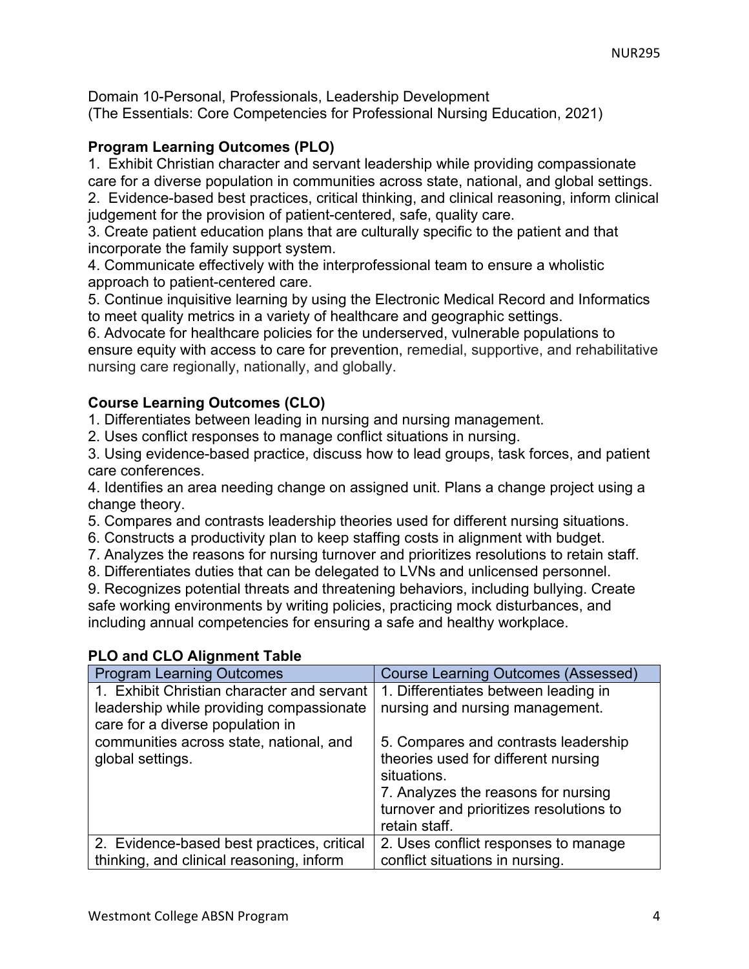Domain 10-Personal, Professionals, Leadership Development (The Essentials: Core Competencies for Professional Nursing Education, 2021)

## **Program Learning Outcomes (PLO)**

1. Exhibit Christian character and servant leadership while providing compassionate care for a diverse population in communities across state, national, and global settings. 2. Evidence-based best practices, critical thinking, and clinical reasoning, inform clinical judgement for the provision of patient-centered, safe, quality care.

3. Create patient education plans that are culturally specific to the patient and that incorporate the family support system.

4. Communicate effectively with the interprofessional team to ensure a wholistic approach to patient-centered care.

5. Continue inquisitive learning by using the Electronic Medical Record and Informatics to meet quality metrics in a variety of healthcare and geographic settings.

6. Advocate for healthcare policies for the underserved, vulnerable populations to ensure equity with access to care for prevention, remedial, supportive, and rehabilitative nursing care regionally, nationally, and globally.

# **Course Learning Outcomes (CLO)**

1. Differentiates between leading in nursing and nursing management.

2. Uses conflict responses to manage conflict situations in nursing.

3. Using evidence-based practice, discuss how to lead groups, task forces, and patient care conferences.

4. Identifies an area needing change on assigned unit. Plans a change project using a change theory.

5. Compares and contrasts leadership theories used for different nursing situations.

6. Constructs a productivity plan to keep staffing costs in alignment with budget.

- 7. Analyzes the reasons for nursing turnover and prioritizes resolutions to retain staff.
- 8. Differentiates duties that can be delegated to LVNs and unlicensed personnel.

9. Recognizes potential threats and threatening behaviors, including bullying. Create safe working environments by writing policies, practicing mock disturbances, and including annual competencies for ensuring a safe and healthy workplace.

| <b>Program Learning Outcomes</b>           | <b>Course Learning Outcomes (Assessed)</b> |
|--------------------------------------------|--------------------------------------------|
| 1. Exhibit Christian character and servant | 1. Differentiates between leading in       |
| leadership while providing compassionate   | nursing and nursing management.            |
| care for a diverse population in           |                                            |
| communities across state, national, and    | 5. Compares and contrasts leadership       |
| global settings.                           | theories used for different nursing        |
|                                            | situations.                                |
|                                            | 7. Analyzes the reasons for nursing        |
|                                            | turnover and prioritizes resolutions to    |
|                                            | retain staff.                              |
| 2. Evidence-based best practices, critical | 2. Uses conflict responses to manage       |
| thinking, and clinical reasoning, inform   | conflict situations in nursing.            |

# **PLO and CLO Alignment Table**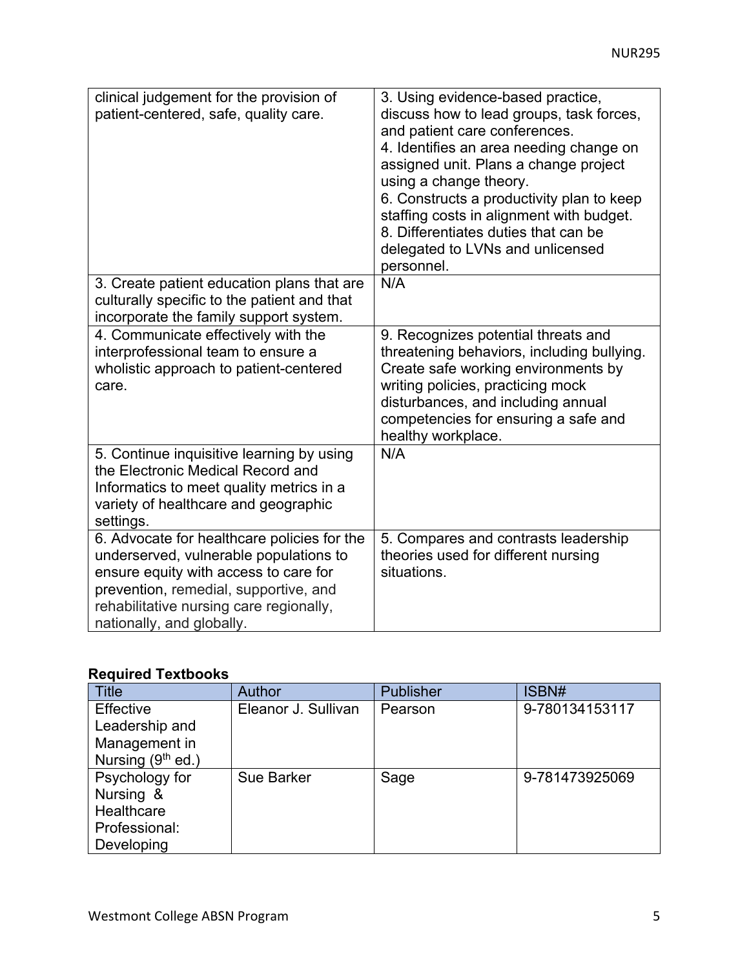| clinical judgement for the provision of<br>patient-centered, safe, quality care.                                                                                                                                                                | 3. Using evidence-based practice,<br>discuss how to lead groups, task forces,<br>and patient care conferences.<br>4. Identifies an area needing change on<br>assigned unit. Plans a change project<br>using a change theory.<br>6. Constructs a productivity plan to keep<br>staffing costs in alignment with budget.<br>8. Differentiates duties that can be<br>delegated to LVNs and unlicensed<br>personnel. |
|-------------------------------------------------------------------------------------------------------------------------------------------------------------------------------------------------------------------------------------------------|-----------------------------------------------------------------------------------------------------------------------------------------------------------------------------------------------------------------------------------------------------------------------------------------------------------------------------------------------------------------------------------------------------------------|
| 3. Create patient education plans that are<br>culturally specific to the patient and that<br>incorporate the family support system.                                                                                                             | N/A                                                                                                                                                                                                                                                                                                                                                                                                             |
| 4. Communicate effectively with the<br>interprofessional team to ensure a<br>wholistic approach to patient-centered<br>care.                                                                                                                    | 9. Recognizes potential threats and<br>threatening behaviors, including bullying.<br>Create safe working environments by<br>writing policies, practicing mock<br>disturbances, and including annual<br>competencies for ensuring a safe and<br>healthy workplace.                                                                                                                                               |
| 5. Continue inquisitive learning by using<br>the Electronic Medical Record and<br>Informatics to meet quality metrics in a<br>variety of healthcare and geographic<br>settings.                                                                 | N/A                                                                                                                                                                                                                                                                                                                                                                                                             |
| 6. Advocate for healthcare policies for the<br>underserved, vulnerable populations to<br>ensure equity with access to care for<br>prevention, remedial, supportive, and<br>rehabilitative nursing care regionally,<br>nationally, and globally. | 5. Compares and contrasts leadership<br>theories used for different nursing<br>situations.                                                                                                                                                                                                                                                                                                                      |

# **Required Textbooks**

| Title                         | Author              | <b>Publisher</b> | ISBN#          |
|-------------------------------|---------------------|------------------|----------------|
| Effective                     | Eleanor J. Sullivan | Pearson          | 9-780134153117 |
| Leadership and                |                     |                  |                |
| Management in                 |                     |                  |                |
| Nursing (9 <sup>th</sup> ed.) |                     |                  |                |
| Psychology for                | <b>Sue Barker</b>   | Sage             | 9-781473925069 |
| Nursing &                     |                     |                  |                |
| Healthcare                    |                     |                  |                |
| Professional:                 |                     |                  |                |
| Developing                    |                     |                  |                |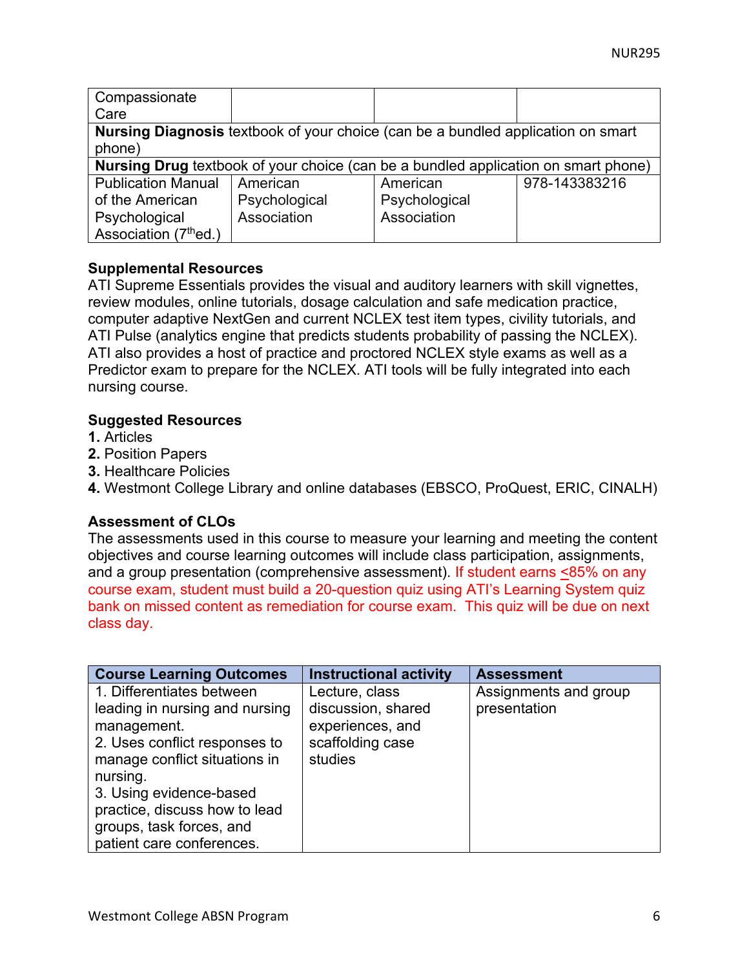| Compassionate             |                                                                                           |               |               |
|---------------------------|-------------------------------------------------------------------------------------------|---------------|---------------|
| Care                      |                                                                                           |               |               |
|                           | <b>Nursing Diagnosis</b> textbook of your choice (can be a bundled application on smart   |               |               |
| phone)                    |                                                                                           |               |               |
|                           | <b>Nursing Drug</b> textbook of your choice (can be a bundled application on smart phone) |               |               |
| <b>Publication Manual</b> | American                                                                                  | American      | 978-143383216 |
| of the American           | Psychological                                                                             | Psychological |               |
| Psychological             | Association                                                                               | Association   |               |
| Association (7thed.)      |                                                                                           |               |               |

## **Supplemental Resources**

ATI Supreme Essentials provides the visual and auditory learners with skill vignettes, review modules, online tutorials, dosage calculation and safe medication practice, computer adaptive NextGen and current NCLEX test item types, civility tutorials, and ATI Pulse (analytics engine that predicts students probability of passing the NCLEX). ATI also provides a host of practice and proctored NCLEX style exams as well as a Predictor exam to prepare for the NCLEX. ATI tools will be fully integrated into each nursing course.

## **Suggested Resources**

- **1.** Articles
- **2.** Position Papers
- **3.** Healthcare Policies
- **4.** Westmont College Library and online databases (EBSCO, ProQuest, ERIC, CINALH)

# **Assessment of CLOs**

The assessments used in this course to measure your learning and meeting the content objectives and course learning outcomes will include class participation, assignments, and a group presentation (comprehensive assessment). If student earns <85% on any course exam, student must build a 20-question quiz using ATI's Learning System quiz bank on missed content as remediation for course exam. This quiz will be due on next class day.

| <b>Course Learning Outcomes</b> | <b>Instructional activity</b> | <b>Assessment</b>     |
|---------------------------------|-------------------------------|-----------------------|
| 1. Differentiates between       | Lecture, class                | Assignments and group |
| leading in nursing and nursing  | discussion, shared            | presentation          |
| management.                     | experiences, and              |                       |
| 2. Uses conflict responses to   | scaffolding case              |                       |
| manage conflict situations in   | studies                       |                       |
| nursing.                        |                               |                       |
| 3. Using evidence-based         |                               |                       |
| practice, discuss how to lead   |                               |                       |
| groups, task forces, and        |                               |                       |
| patient care conferences.       |                               |                       |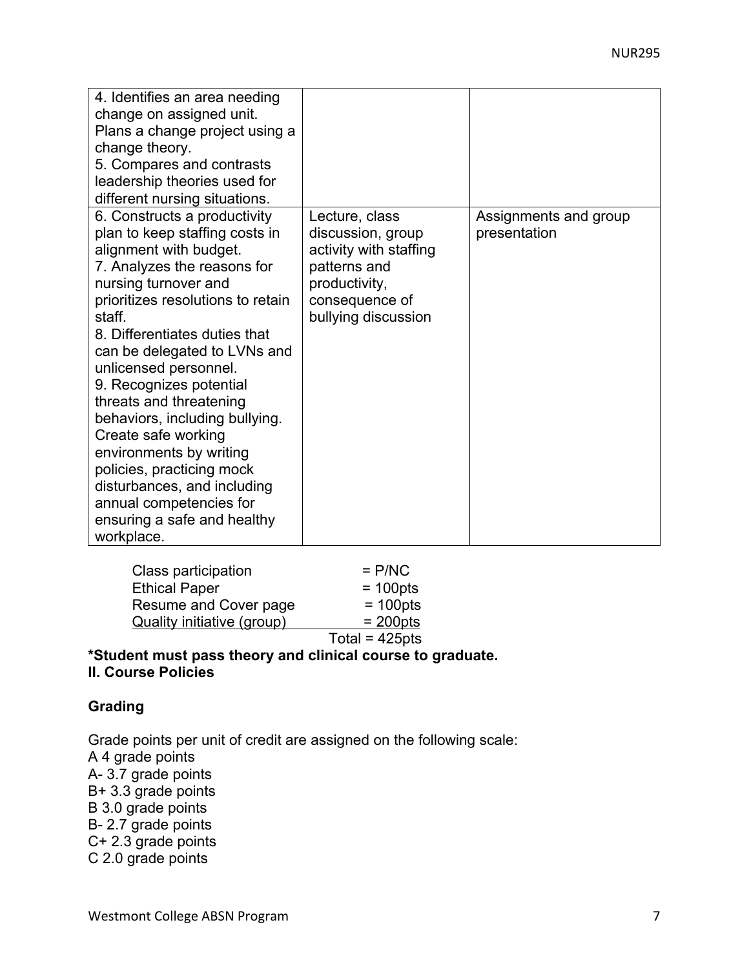| 4. Identifies an area needing<br>change on assigned unit.<br>Plans a change project using a<br>change theory.<br>5. Compares and contrasts<br>leadership theories used for<br>different nursing situations.                                                                                                                                                                                                                                                                                                                                                            |                                                                                                                                         |                                       |
|------------------------------------------------------------------------------------------------------------------------------------------------------------------------------------------------------------------------------------------------------------------------------------------------------------------------------------------------------------------------------------------------------------------------------------------------------------------------------------------------------------------------------------------------------------------------|-----------------------------------------------------------------------------------------------------------------------------------------|---------------------------------------|
| 6. Constructs a productivity<br>plan to keep staffing costs in<br>alignment with budget.<br>7. Analyzes the reasons for<br>nursing turnover and<br>prioritizes resolutions to retain<br>staff.<br>8. Differentiates duties that<br>can be delegated to LVNs and<br>unlicensed personnel.<br>9. Recognizes potential<br>threats and threatening<br>behaviors, including bullying.<br>Create safe working<br>environments by writing<br>policies, practicing mock<br>disturbances, and including<br>annual competencies for<br>ensuring a safe and healthy<br>workplace. | Lecture, class<br>discussion, group<br>activity with staffing<br>patterns and<br>productivity,<br>consequence of<br>bullying discussion | Assignments and group<br>presentation |

| Class participation        | $=$ P/NC          |
|----------------------------|-------------------|
| <b>Ethical Paper</b>       | $= 100$ pts       |
| Resume and Cover page      | $= 100$ pts       |
| Quality initiative (group) | $= 200$ pts       |
|                            | Total = $425$ pts |
|                            |                   |

#### **\*Student must pass theory and clinical course to graduate. II. Course Policies**

#### **Grading**

Grade points per unit of credit are assigned on the following scale: A 4 grade points A- 3.7 grade points B+ 3.3 grade points B 3.0 grade points B- 2.7 grade points C+ 2.3 grade points C 2.0 grade points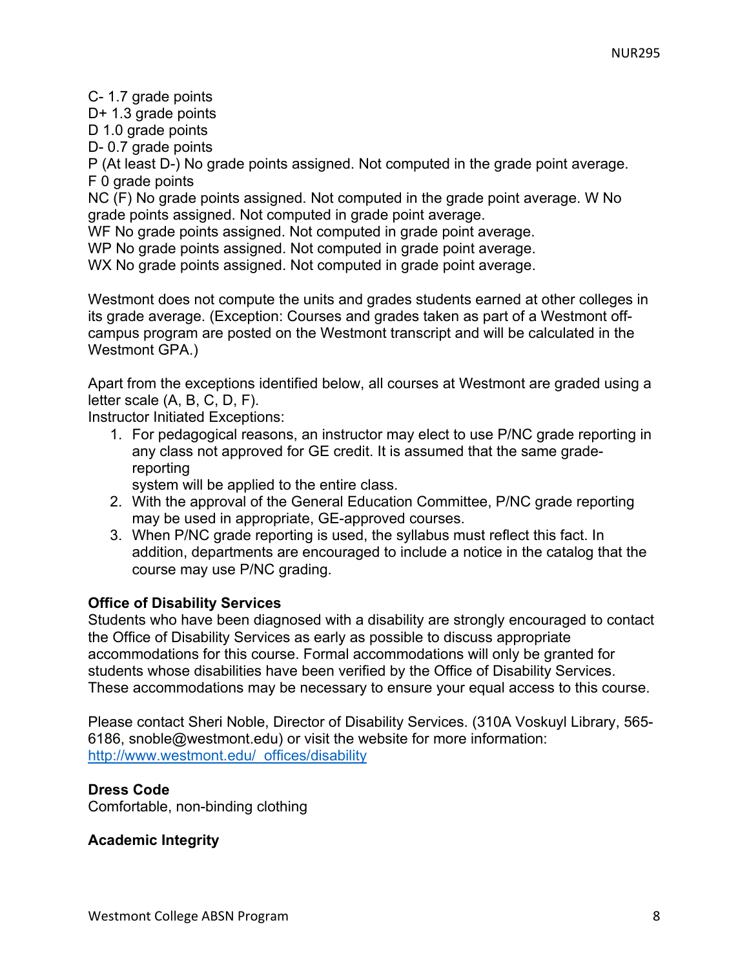C- 1.7 grade points

D+ 1.3 grade points

D 1.0 grade points

D- 0.7 grade points

P (At least D-) No grade points assigned. Not computed in the grade point average. F 0 grade points

NC (F) No grade points assigned. Not computed in the grade point average. W No grade points assigned. Not computed in grade point average.

WF No grade points assigned. Not computed in grade point average.

WP No grade points assigned. Not computed in grade point average.

WX No grade points assigned. Not computed in grade point average.

Westmont does not compute the units and grades students earned at other colleges in its grade average. (Exception: Courses and grades taken as part of a Westmont offcampus program are posted on the Westmont transcript and will be calculated in the Westmont GPA.)

Apart from the exceptions identified below, all courses at Westmont are graded using a letter scale (A, B, C, D, F).

Instructor Initiated Exceptions:

1. For pedagogical reasons, an instructor may elect to use P/NC grade reporting in any class not approved for GE credit. It is assumed that the same gradereporting

system will be applied to the entire class.

- 2. With the approval of the General Education Committee, P/NC grade reporting may be used in appropriate, GE-approved courses.
- 3. When P/NC grade reporting is used, the syllabus must reflect this fact. In addition, departments are encouraged to include a notice in the catalog that the course may use P/NC grading.

# **Office of Disability Services**

Students who have been diagnosed with a disability are strongly encouraged to contact the Office of Disability Services as early as possible to discuss appropriate accommodations for this course. Formal accommodations will only be granted for students whose disabilities have been verified by the Office of Disability Services. These accommodations may be necessary to ensure your equal access to this course.

Please contact Sheri Noble, Director of Disability Services. (310A Voskuyl Library, 565- 6186, snoble@westmont.edu) or visit the website for more information: http://www.westmont.edu/\_offices/disability

# **Dress Code**

Comfortable, non-binding clothing

# **Academic Integrity**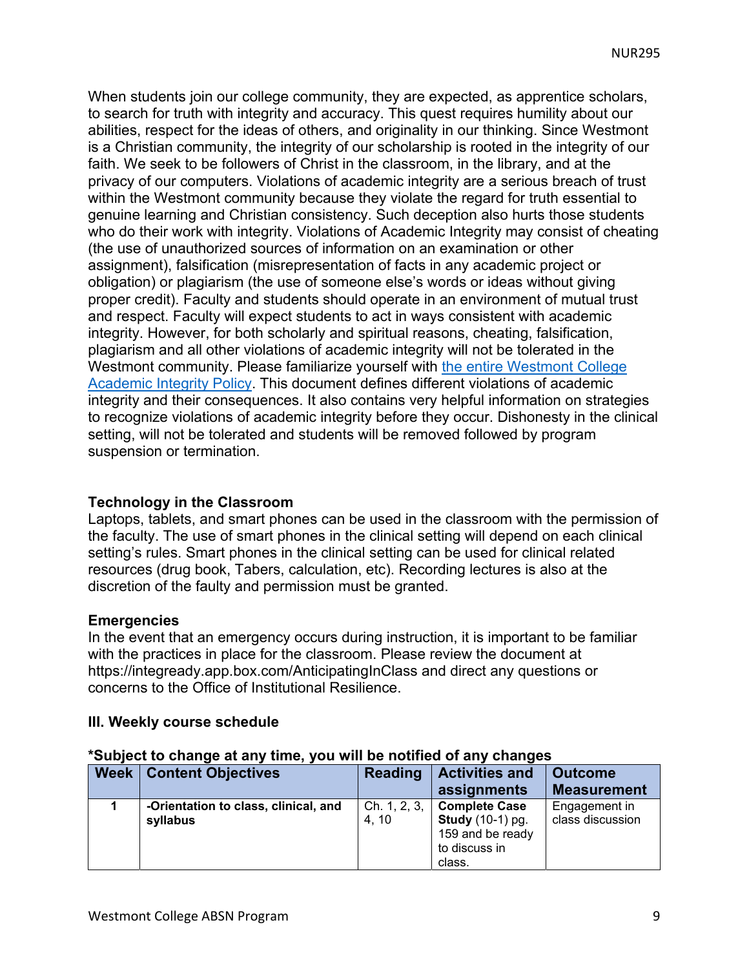When students join our college community, they are expected, as apprentice scholars, to search for truth with integrity and accuracy. This quest requires humility about our abilities, respect for the ideas of others, and originality in our thinking. Since Westmont is a Christian community, the integrity of our scholarship is rooted in the integrity of our faith. We seek to be followers of Christ in the classroom, in the library, and at the privacy of our computers. Violations of academic integrity are a serious breach of trust within the Westmont community because they violate the regard for truth essential to genuine learning and Christian consistency. Such deception also hurts those students who do their work with integrity. Violations of Academic Integrity may consist of cheating (the use of unauthorized sources of information on an examination or other assignment), falsification (misrepresentation of facts in any academic project or obligation) or plagiarism (the use of someone else's words or ideas without giving proper credit). Faculty and students should operate in an environment of mutual trust and respect. Faculty will expect students to act in ways consistent with academic integrity. However, for both scholarly and spiritual reasons, cheating, falsification, plagiarism and all other violations of academic integrity will not be tolerated in the Westmont community. Please familiarize yourself with the entire Westmont College Academic Integrity Policy. This document defines different violations of academic integrity and their consequences. It also contains very helpful information on strategies to recognize violations of academic integrity before they occur. Dishonesty in the clinical setting, will not be tolerated and students will be removed followed by program suspension or termination.

#### **Technology in the Classroom**

Laptops, tablets, and smart phones can be used in the classroom with the permission of the faculty. The use of smart phones in the clinical setting will depend on each clinical setting's rules. Smart phones in the clinical setting can be used for clinical related resources (drug book, Tabers, calculation, etc). Recording lectures is also at the discretion of the faulty and permission must be granted.

#### **Emergencies**

In the event that an emergency occurs during instruction, it is important to be familiar with the practices in place for the classroom. Please review the document at https://integready.app.box.com/AnticipatingInClass and direct any questions or concerns to the Office of Institutional Resilience.

#### **III. Weekly course schedule**

#### **\*Subject to change at any time, you will be notified of any changes**

| <b>Week</b> | <b>Content Objectives</b>                        | <b>Reading</b>        | <b>Activities and</b>                                                                | <b>Outcome</b>                    |
|-------------|--------------------------------------------------|-----------------------|--------------------------------------------------------------------------------------|-----------------------------------|
|             |                                                  |                       | assignments                                                                          | <b>Measurement</b>                |
|             | -Orientation to class, clinical, and<br>syllabus | Ch. 1, 2, 3,<br>4, 10 | <b>Complete Case</b><br><b>Study</b> (10-1) pg.<br>159 and be ready<br>to discuss in | Engagement in<br>class discussion |
|             |                                                  |                       | class.                                                                               |                                   |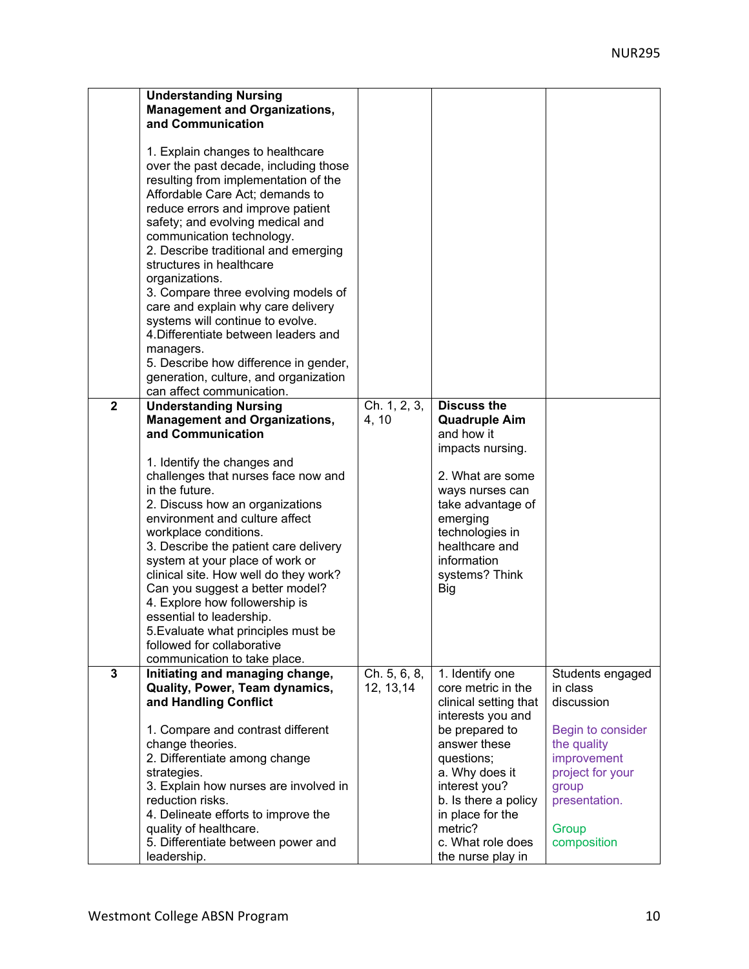|                | <b>Understanding Nursing</b><br><b>Management and Organizations,</b><br>and Communication<br>1. Explain changes to healthcare<br>over the past decade, including those<br>resulting from implementation of the<br>Affordable Care Act; demands to<br>reduce errors and improve patient<br>safety; and evolving medical and<br>communication technology.<br>2. Describe traditional and emerging<br>structures in healthcare<br>organizations.<br>3. Compare three evolving models of<br>care and explain why care delivery<br>systems will continue to evolve.<br>4. Differentiate between leaders and<br>managers.<br>5. Describe how difference in gender,<br>generation, culture, and organization<br>can affect communication. |                |                                             |                           |
|----------------|------------------------------------------------------------------------------------------------------------------------------------------------------------------------------------------------------------------------------------------------------------------------------------------------------------------------------------------------------------------------------------------------------------------------------------------------------------------------------------------------------------------------------------------------------------------------------------------------------------------------------------------------------------------------------------------------------------------------------------|----------------|---------------------------------------------|---------------------------|
| $\mathbf{2}$   | <b>Understanding Nursing</b>                                                                                                                                                                                                                                                                                                                                                                                                                                                                                                                                                                                                                                                                                                       | Ch. 1, 2, 3,   | <b>Discuss the</b>                          |                           |
|                | <b>Management and Organizations,</b><br>and Communication                                                                                                                                                                                                                                                                                                                                                                                                                                                                                                                                                                                                                                                                          | 4, 10          | <b>Quadruple Aim</b><br>and how it          |                           |
|                |                                                                                                                                                                                                                                                                                                                                                                                                                                                                                                                                                                                                                                                                                                                                    |                | impacts nursing.                            |                           |
|                | 1. Identify the changes and<br>challenges that nurses face now and                                                                                                                                                                                                                                                                                                                                                                                                                                                                                                                                                                                                                                                                 |                | 2. What are some                            |                           |
|                | in the future.                                                                                                                                                                                                                                                                                                                                                                                                                                                                                                                                                                                                                                                                                                                     |                | ways nurses can                             |                           |
|                | 2. Discuss how an organizations<br>environment and culture affect                                                                                                                                                                                                                                                                                                                                                                                                                                                                                                                                                                                                                                                                  |                | take advantage of<br>emerging               |                           |
|                | workplace conditions.                                                                                                                                                                                                                                                                                                                                                                                                                                                                                                                                                                                                                                                                                                              |                | technologies in                             |                           |
|                | 3. Describe the patient care delivery                                                                                                                                                                                                                                                                                                                                                                                                                                                                                                                                                                                                                                                                                              |                | healthcare and                              |                           |
|                | system at your place of work or<br>clinical site. How well do they work?                                                                                                                                                                                                                                                                                                                                                                                                                                                                                                                                                                                                                                                           |                | information<br>systems? Think               |                           |
|                | Can you suggest a better model?                                                                                                                                                                                                                                                                                                                                                                                                                                                                                                                                                                                                                                                                                                    |                | Big                                         |                           |
|                | 4. Explore how followership is                                                                                                                                                                                                                                                                                                                                                                                                                                                                                                                                                                                                                                                                                                     |                |                                             |                           |
|                | essential to leadership.                                                                                                                                                                                                                                                                                                                                                                                                                                                                                                                                                                                                                                                                                                           |                |                                             |                           |
|                | 5. Evaluate what principles must be<br>followed for collaborative                                                                                                                                                                                                                                                                                                                                                                                                                                                                                                                                                                                                                                                                  |                |                                             |                           |
|                | communication to take place.                                                                                                                                                                                                                                                                                                                                                                                                                                                                                                                                                                                                                                                                                                       |                |                                             |                           |
| $\overline{3}$ | Initiating and managing change,                                                                                                                                                                                                                                                                                                                                                                                                                                                                                                                                                                                                                                                                                                    | Ch. $5, 6, 8,$ | 1. Identify one                             | Students engaged          |
|                | Quality, Power, Team dynamics,                                                                                                                                                                                                                                                                                                                                                                                                                                                                                                                                                                                                                                                                                                     | 12, 13, 14     | core metric in the<br>clinical setting that | in class<br>discussion    |
|                | and Handling Conflict                                                                                                                                                                                                                                                                                                                                                                                                                                                                                                                                                                                                                                                                                                              |                | interests you and                           |                           |
|                | 1. Compare and contrast different                                                                                                                                                                                                                                                                                                                                                                                                                                                                                                                                                                                                                                                                                                  |                | be prepared to                              | Begin to consider         |
|                | change theories.                                                                                                                                                                                                                                                                                                                                                                                                                                                                                                                                                                                                                                                                                                                   |                | answer these                                | the quality               |
|                | 2. Differentiate among change                                                                                                                                                                                                                                                                                                                                                                                                                                                                                                                                                                                                                                                                                                      |                | questions;                                  | improvement               |
|                | strategies.<br>3. Explain how nurses are involved in                                                                                                                                                                                                                                                                                                                                                                                                                                                                                                                                                                                                                                                                               |                | a. Why does it<br>interest you?             | project for your<br>group |
|                | reduction risks.                                                                                                                                                                                                                                                                                                                                                                                                                                                                                                                                                                                                                                                                                                                   |                | b. Is there a policy                        | presentation.             |
|                | 4. Delineate efforts to improve the                                                                                                                                                                                                                                                                                                                                                                                                                                                                                                                                                                                                                                                                                                |                | in place for the                            |                           |
|                | quality of healthcare.                                                                                                                                                                                                                                                                                                                                                                                                                                                                                                                                                                                                                                                                                                             |                | metric?<br>c. What role does                | Group                     |
|                | 5. Differentiate between power and<br>leadership.                                                                                                                                                                                                                                                                                                                                                                                                                                                                                                                                                                                                                                                                                  |                | the nurse play in                           | composition               |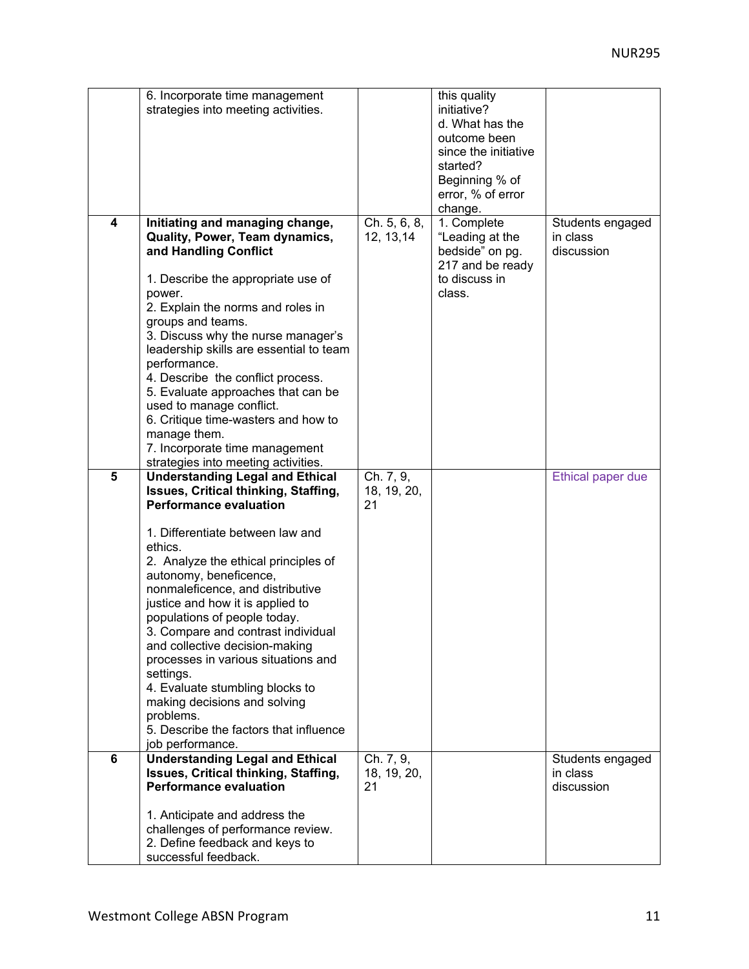|                | 6. Incorporate time management<br>strategies into meeting activities.                                                                                                                                                                                                                                                                                                                                                                                                                                                                                                                                              |                                | this quality<br>initiative?<br>d. What has the<br>outcome been<br>since the initiative<br>started?<br>Beginning % of<br>error, % of error<br>change. |                                            |
|----------------|--------------------------------------------------------------------------------------------------------------------------------------------------------------------------------------------------------------------------------------------------------------------------------------------------------------------------------------------------------------------------------------------------------------------------------------------------------------------------------------------------------------------------------------------------------------------------------------------------------------------|--------------------------------|------------------------------------------------------------------------------------------------------------------------------------------------------|--------------------------------------------|
| 4              | Initiating and managing change,<br>Quality, Power, Team dynamics,<br>and Handling Conflict<br>1. Describe the appropriate use of<br>power.<br>2. Explain the norms and roles in<br>groups and teams.<br>3. Discuss why the nurse manager's<br>leadership skills are essential to team<br>performance.<br>4. Describe the conflict process.<br>5. Evaluate approaches that can be<br>used to manage conflict.<br>6. Critique time-wasters and how to<br>manage them.<br>7. Incorporate time management<br>strategies into meeting activities.                                                                       | Ch. 5, 6, 8,<br>12, 13, 14     | 1. Complete<br>"Leading at the<br>bedside" on pg.<br>217 and be ready<br>to discuss in<br>class.                                                     | Students engaged<br>in class<br>discussion |
| $5\phantom{1}$ | <b>Understanding Legal and Ethical</b><br>Issues, Critical thinking, Staffing,<br><b>Performance evaluation</b><br>1. Differentiate between law and<br>ethics.<br>2. Analyze the ethical principles of<br>autonomy, beneficence,<br>nonmaleficence, and distributive<br>justice and how it is applied to<br>populations of people today.<br>3. Compare and contrast individual<br>and collective decision-making<br>processes in various situations and<br>settings.<br>4. Evaluate stumbling blocks to<br>making decisions and solving<br>problems.<br>5. Describe the factors that influence<br>job performance. | Ch. 7, 9,<br>18, 19, 20,<br>21 |                                                                                                                                                      | Ethical paper due                          |
| 6              | <b>Understanding Legal and Ethical</b><br>Issues, Critical thinking, Staffing,<br><b>Performance evaluation</b><br>1. Anticipate and address the<br>challenges of performance review.<br>2. Define feedback and keys to<br>successful feedback.                                                                                                                                                                                                                                                                                                                                                                    | Ch. 7, 9,<br>18, 19, 20,<br>21 |                                                                                                                                                      | Students engaged<br>in class<br>discussion |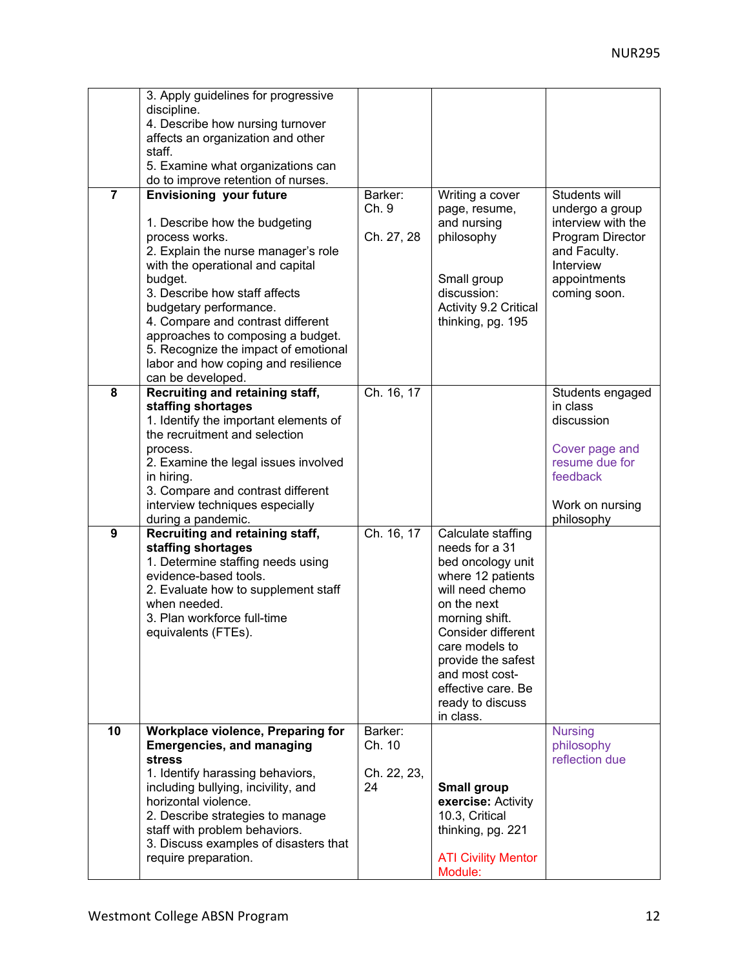|                | 3. Apply guidelines for progressive<br>discipline.                      |             |                                       |                              |
|----------------|-------------------------------------------------------------------------|-------------|---------------------------------------|------------------------------|
|                | 4. Describe how nursing turnover                                        |             |                                       |                              |
|                | affects an organization and other                                       |             |                                       |                              |
|                | staff.                                                                  |             |                                       |                              |
|                | 5. Examine what organizations can<br>do to improve retention of nurses. |             |                                       |                              |
| $\overline{7}$ | <b>Envisioning</b> your future                                          | Barker:     | Writing a cover                       | Students will                |
|                |                                                                         | Ch. 9       | page, resume,                         | undergo a group              |
|                | 1. Describe how the budgeting                                           |             | and nursing                           | interview with the           |
|                | process works.                                                          | Ch. 27, 28  | philosophy                            | Program Director             |
|                | 2. Explain the nurse manager's role                                     |             |                                       | and Faculty.                 |
|                | with the operational and capital                                        |             |                                       | Interview                    |
|                | budget.<br>3. Describe how staff affects                                |             | Small group<br>discussion:            | appointments<br>coming soon. |
|                | budgetary performance.                                                  |             | Activity 9.2 Critical                 |                              |
|                | 4. Compare and contrast different                                       |             | thinking, pg. 195                     |                              |
|                | approaches to composing a budget.                                       |             |                                       |                              |
|                | 5. Recognize the impact of emotional                                    |             |                                       |                              |
|                | labor and how coping and resilience                                     |             |                                       |                              |
| 8              | can be developed.                                                       | Ch. 16, 17  |                                       |                              |
|                | Recruiting and retaining staff,<br>staffing shortages                   |             |                                       | Students engaged<br>in class |
|                | 1. Identify the important elements of                                   |             |                                       | discussion                   |
|                | the recruitment and selection                                           |             |                                       |                              |
|                | process.                                                                |             |                                       | Cover page and               |
|                | 2. Examine the legal issues involved                                    |             |                                       | resume due for               |
|                | in hiring.                                                              |             |                                       | feedback                     |
|                | 3. Compare and contrast different<br>interview techniques especially    |             |                                       | Work on nursing              |
|                | during a pandemic.                                                      |             |                                       | philosophy                   |
| 9              | Recruiting and retaining staff,                                         | Ch. 16, 17  | Calculate staffing                    |                              |
|                | staffing shortages                                                      |             | needs for a 31                        |                              |
|                | 1. Determine staffing needs using                                       |             | bed oncology unit                     |                              |
|                | evidence-based tools.<br>2. Evaluate how to supplement staff            |             | where 12 patients<br>will need chemo  |                              |
|                | when needed.                                                            |             | on the next                           |                              |
|                | 3. Plan workforce full-time                                             |             | morning shift.                        |                              |
|                | equivalents (FTEs).                                                     |             | Consider different                    |                              |
|                |                                                                         |             | care models to                        |                              |
|                |                                                                         |             | provide the safest                    |                              |
|                |                                                                         |             | and most cost-<br>effective care. Be  |                              |
|                |                                                                         |             | ready to discuss                      |                              |
|                |                                                                         |             | in class.                             |                              |
| 10             | Workplace violence, Preparing for                                       | Barker:     |                                       | <b>Nursing</b>               |
|                | <b>Emergencies, and managing</b>                                        | Ch. 10      |                                       | philosophy<br>reflection due |
|                | <b>stress</b><br>1. Identify harassing behaviors,                       | Ch. 22, 23, |                                       |                              |
|                | including bullying, incivility, and                                     | 24          | <b>Small group</b>                    |                              |
|                | horizontal violence.                                                    |             | exercise: Activity                    |                              |
|                | 2. Describe strategies to manage                                        |             | 10.3, Critical                        |                              |
|                | staff with problem behaviors.                                           |             | thinking, pg. 221                     |                              |
|                | 3. Discuss examples of disasters that                                   |             |                                       |                              |
|                | require preparation.                                                    |             | <b>ATI Civility Mentor</b><br>Module: |                              |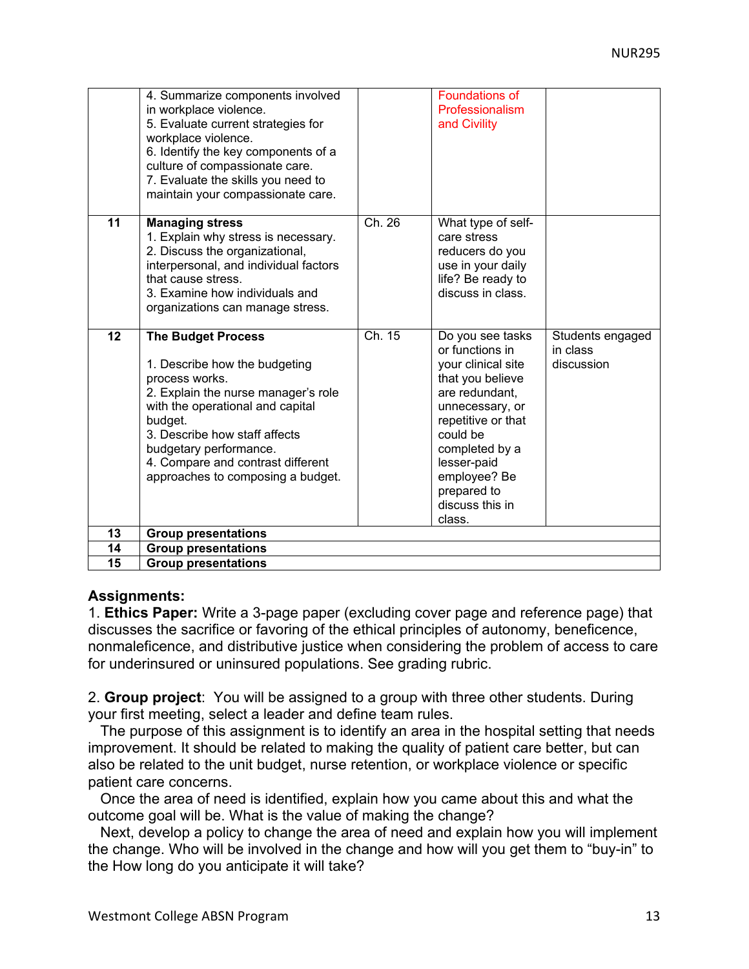|    | 4. Summarize components involved<br>in workplace violence.<br>5. Evaluate current strategies for<br>workplace violence.<br>6. Identify the key components of a<br>culture of compassionate care.<br>7. Evaluate the skills you need to<br>maintain your compassionate care.                             |        | Foundations of<br>Professionalism<br>and Civility                                                                                                                                                                                                 |                                            |
|----|---------------------------------------------------------------------------------------------------------------------------------------------------------------------------------------------------------------------------------------------------------------------------------------------------------|--------|---------------------------------------------------------------------------------------------------------------------------------------------------------------------------------------------------------------------------------------------------|--------------------------------------------|
| 11 | <b>Managing stress</b><br>1. Explain why stress is necessary.<br>2. Discuss the organizational,<br>interpersonal, and individual factors<br>that cause stress.<br>3. Examine how individuals and<br>organizations can manage stress.                                                                    | Ch. 26 | What type of self-<br>care stress<br>reducers do you<br>use in your daily<br>life? Be ready to<br>discuss in class.                                                                                                                               |                                            |
| 12 | <b>The Budget Process</b><br>1. Describe how the budgeting<br>process works.<br>2. Explain the nurse manager's role<br>with the operational and capital<br>budget.<br>3. Describe how staff affects<br>budgetary performance.<br>4. Compare and contrast different<br>approaches to composing a budget. | Ch. 15 | Do you see tasks<br>or functions in<br>your clinical site<br>that you believe<br>are redundant,<br>unnecessary, or<br>repetitive or that<br>could be<br>completed by a<br>lesser-paid<br>employee? Be<br>prepared to<br>discuss this in<br>class. | Students engaged<br>in class<br>discussion |
| 13 | <b>Group presentations</b>                                                                                                                                                                                                                                                                              |        |                                                                                                                                                                                                                                                   |                                            |
| 14 | <b>Group presentations</b>                                                                                                                                                                                                                                                                              |        |                                                                                                                                                                                                                                                   |                                            |
| 15 | <b>Group presentations</b>                                                                                                                                                                                                                                                                              |        |                                                                                                                                                                                                                                                   |                                            |

#### **Assignments:**

1. **Ethics Paper:** Write a 3-page paper (excluding cover page and reference page) that discusses the sacrifice or favoring of the ethical principles of autonomy, beneficence, nonmaleficence, and distributive justice when considering the problem of access to care for underinsured or uninsured populations. See grading rubric.

2. **Group project**: You will be assigned to a group with three other students. During your first meeting, select a leader and define team rules.

 The purpose of this assignment is to identify an area in the hospital setting that needs improvement. It should be related to making the quality of patient care better, but can also be related to the unit budget, nurse retention, or workplace violence or specific patient care concerns.

 Once the area of need is identified, explain how you came about this and what the outcome goal will be. What is the value of making the change?

 Next, develop a policy to change the area of need and explain how you will implement the change. Who will be involved in the change and how will you get them to "buy-in" to the How long do you anticipate it will take?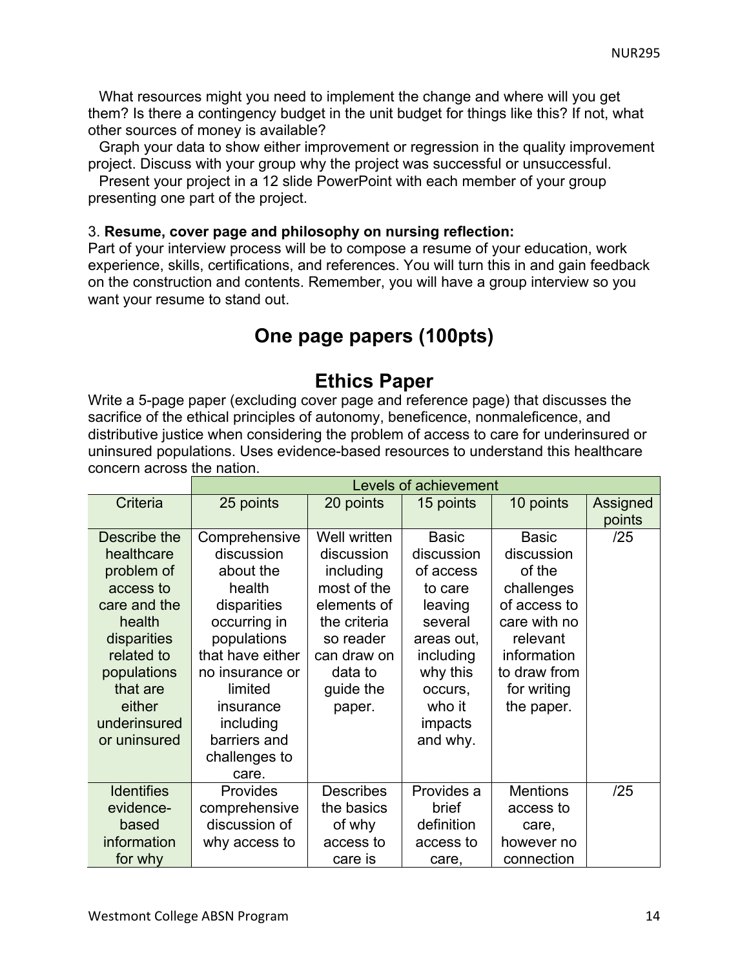What resources might you need to implement the change and where will you get them? Is there a contingency budget in the unit budget for things like this? If not, what other sources of money is available?

Graph your data to show either improvement or regression in the quality improvement project. Discuss with your group why the project was successful or unsuccessful.

Present your project in a 12 slide PowerPoint with each member of your group presenting one part of the project.

#### 3. **Resume, cover page and philosophy on nursing reflection:**

Part of your interview process will be to compose a resume of your education, work experience, skills, certifications, and references. You will turn this in and gain feedback on the construction and contents. Remember, you will have a group interview so you want your resume to stand out.

# **One page papers (100pts)**

# **Ethics Paper**

Write a 5-page paper (excluding cover page and reference page) that discusses the sacrifice of the ethical principles of autonomy, beneficence, nonmaleficence, and distributive justice when considering the problem of access to care for underinsured or uninsured populations. Uses evidence-based resources to understand this healthcare concern across the nation.

|                   | Levels of achievement |                  |              |                 |          |
|-------------------|-----------------------|------------------|--------------|-----------------|----------|
| Criteria          | 25 points             | 20 points        | 15 points    | 10 points       | Assigned |
|                   |                       |                  |              |                 | points   |
| Describe the      | Comprehensive         | Well written     | <b>Basic</b> | <b>Basic</b>    | /25      |
| healthcare        | discussion            | discussion       | discussion   | discussion      |          |
| problem of        | about the             | including        | of access    | of the          |          |
| access to         | health                | most of the      | to care      | challenges      |          |
| care and the      | disparities           | elements of      | leaving      | of access to    |          |
| health            | occurring in          | the criteria     | several      | care with no    |          |
| disparities       | populations           | so reader        | areas out,   | relevant        |          |
| related to        | that have either      | can draw on      | including    | information     |          |
| populations       | no insurance or       | data to          | why this     | to draw from    |          |
| that are          | limited               | guide the        | occurs,      | for writing     |          |
| either            | insurance             | paper.           | who it       | the paper.      |          |
| underinsured      | including             |                  | impacts      |                 |          |
| or uninsured      | barriers and          |                  | and why.     |                 |          |
|                   | challenges to         |                  |              |                 |          |
|                   | care.                 |                  |              |                 |          |
| <b>Identifies</b> | <b>Provides</b>       | <b>Describes</b> | Provides a   | <b>Mentions</b> | /25      |
| evidence-         | comprehensive         | the basics       | brief        | access to       |          |
| based             | discussion of         | of why           | definition   | care,           |          |
| information       | why access to         | access to        | access to    | however no      |          |
| for why           |                       | care is          | care,        | connection      |          |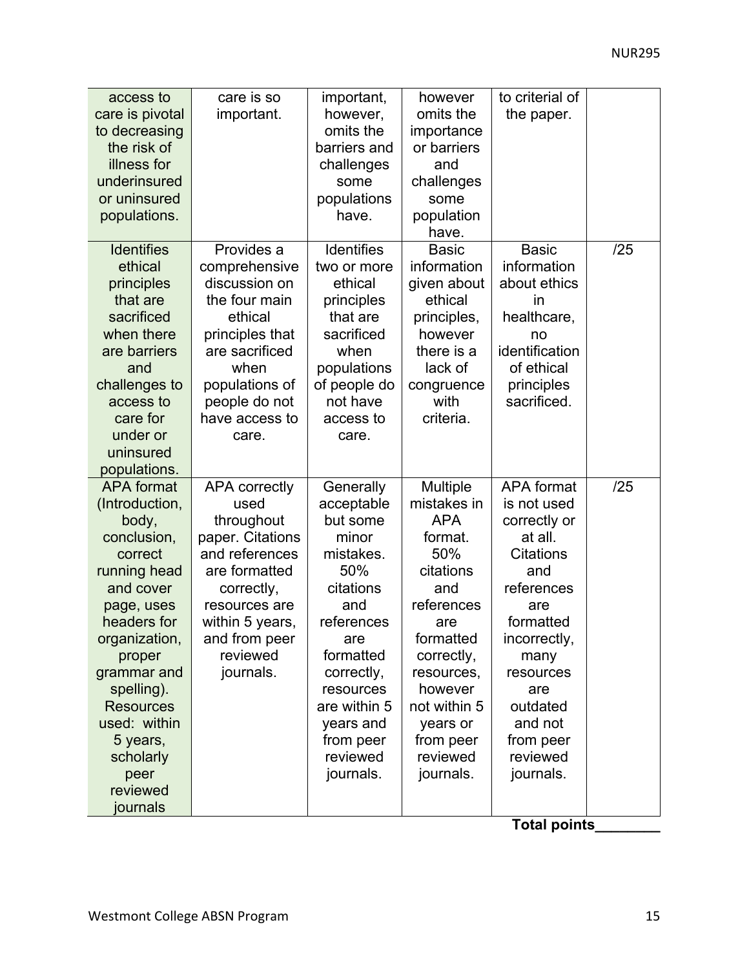| access to         | care is so           | important,        | however      | to criterial of   |     |
|-------------------|----------------------|-------------------|--------------|-------------------|-----|
| care is pivotal   | important.           | however,          | omits the    | the paper.        |     |
| to decreasing     |                      | omits the         | importance   |                   |     |
| the risk of       |                      | barriers and      | or barriers  |                   |     |
| illness for       |                      | challenges        | and          |                   |     |
| underinsured      |                      | some              | challenges   |                   |     |
| or uninsured      |                      | populations       | some         |                   |     |
| populations.      |                      | have.             | population   |                   |     |
|                   |                      |                   | have.        |                   |     |
| <b>Identifies</b> | Provides a           | <b>Identifies</b> | <b>Basic</b> | <b>Basic</b>      | /25 |
| ethical           | comprehensive        | two or more       | information  | information       |     |
| principles        | discussion on        | ethical           | given about  | about ethics      |     |
| that are          | the four main        | principles        | ethical      | in                |     |
| sacrificed        | ethical              | that are          | principles,  | healthcare,       |     |
| when there        | principles that      | sacrificed        | however      | no                |     |
| are barriers      | are sacrificed       | when              | there is a   | identification    |     |
| and               | when                 | populations       | lack of      | of ethical        |     |
| challenges to     | populations of       | of people do      | congruence   | principles        |     |
| access to         | people do not        | not have          | with         | sacrificed.       |     |
| care for          | have access to       | access to         | criteria.    |                   |     |
| under or          | care.                | care.             |              |                   |     |
| uninsured         |                      |                   |              |                   |     |
| populations.      |                      |                   |              |                   |     |
| <b>APA</b> format | <b>APA</b> correctly | Generally         | Multiple     | <b>APA</b> format | /25 |
| (Introduction,    | used                 | acceptable        | mistakes in  | is not used       |     |
| body,             | throughout           | but some          | <b>APA</b>   | correctly or      |     |
| conclusion,       | paper. Citations     | minor             | format.      | at all.           |     |
| correct           | and references       | mistakes.         | 50%          | <b>Citations</b>  |     |
| running head      | are formatted        | 50%               | citations    | and               |     |
| and cover         | correctly,           | citations         | and          | references        |     |
| page, uses        | resources are        | and               | references   | are               |     |
| headers for       | within 5 years,      | references        | are          | formatted         |     |
| organization,     | and from peer        | are               | formatted    | incorrectly,      |     |
| proper            | reviewed             | formatted         | correctly,   | many              |     |
| grammar and       | journals.            | correctly,        | resources,   | resources         |     |
| spelling).        |                      | resources         | however      | are               |     |
| <b>Resources</b>  |                      | are within 5      | not within 5 | outdated          |     |
| used: within      |                      | years and         | years or     | and not           |     |
| 5 years,          |                      | from peer         | from peer    | from peer         |     |
| scholarly         |                      | reviewed          | reviewed     | reviewed          |     |
| peer              |                      | journals.         | journals.    | journals.         |     |
| reviewed          |                      |                   |              |                   |     |
| journals          |                      |                   |              |                   |     |

**Total points\_\_\_\_\_\_\_\_**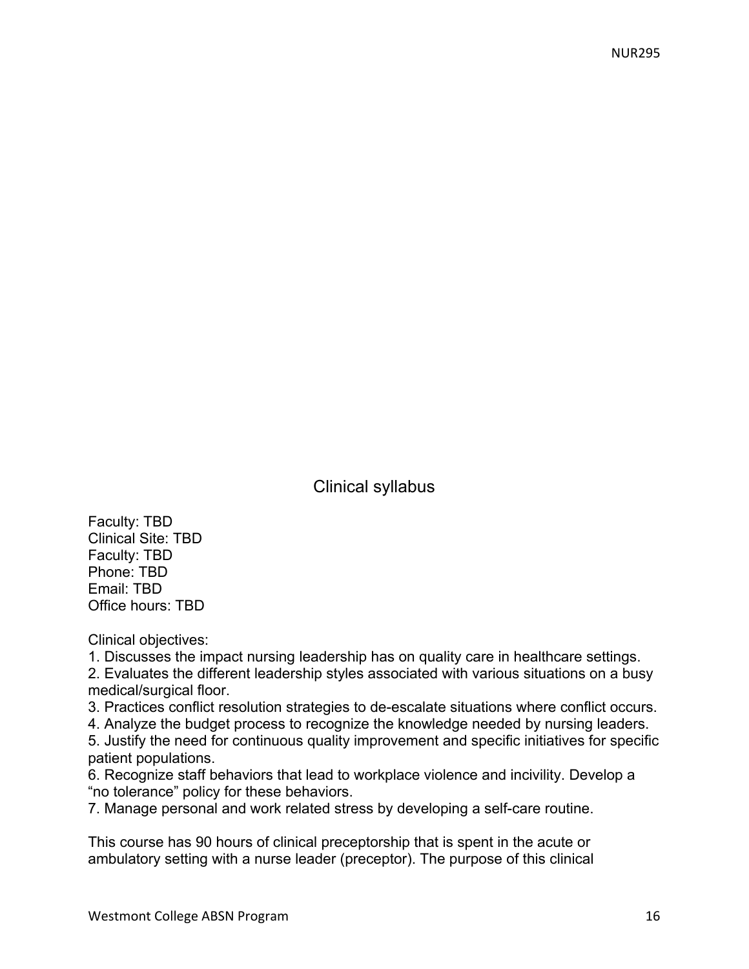Clinical syllabus

Faculty: TBD Clinical Site: TBD Faculty: TBD Phone: TBD Email: TBD Office hours: TBD

Clinical objectives:

1. Discusses the impact nursing leadership has on quality care in healthcare settings.

2. Evaluates the different leadership styles associated with various situations on a busy medical/surgical floor.

3. Practices conflict resolution strategies to de-escalate situations where conflict occurs.

4. Analyze the budget process to recognize the knowledge needed by nursing leaders.

5. Justify the need for continuous quality improvement and specific initiatives for specific patient populations.

6. Recognize staff behaviors that lead to workplace violence and incivility. Develop a "no tolerance" policy for these behaviors.

7. Manage personal and work related stress by developing a self-care routine.

This course has 90 hours of clinical preceptorship that is spent in the acute or ambulatory setting with a nurse leader (preceptor). The purpose of this clinical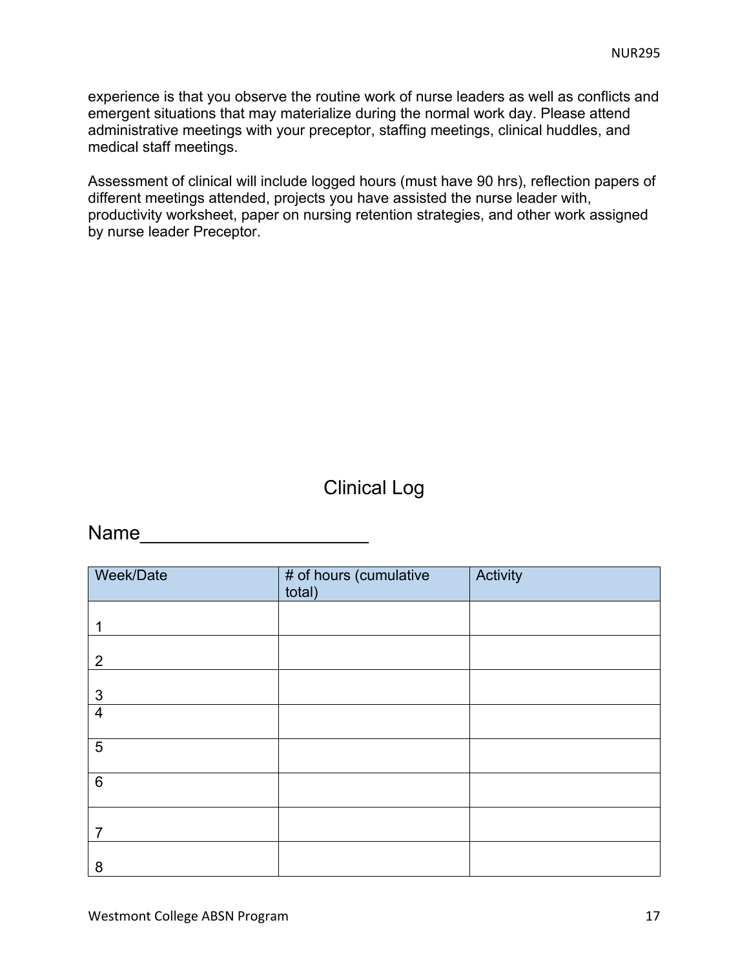experience is that you observe the routine work of nurse leaders as well as conflicts and emergent situations that may materialize during the normal work day. Please attend administrative meetings with your preceptor, staffing meetings, clinical huddles, and medical staff meetings.

Assessment of clinical will include logged hours (must have 90 hrs), reflection papers of different meetings attended, projects you have assisted the nurse leader with, productivity worksheet, paper on nursing retention strategies, and other work assigned by nurse leader Preceptor.

# Clinical Log

# Name\_\_\_\_\_\_\_\_\_\_\_\_\_\_\_\_\_\_\_\_\_

| Week/Date      | # of hours (cumulative<br>total) | Activity |
|----------------|----------------------------------|----------|
|                |                                  |          |
| $\overline{2}$ |                                  |          |
| 3              |                                  |          |
| $\overline{4}$ |                                  |          |
| $\overline{5}$ |                                  |          |
| $6\phantom{1}$ |                                  |          |
| 7              |                                  |          |
| 8              |                                  |          |